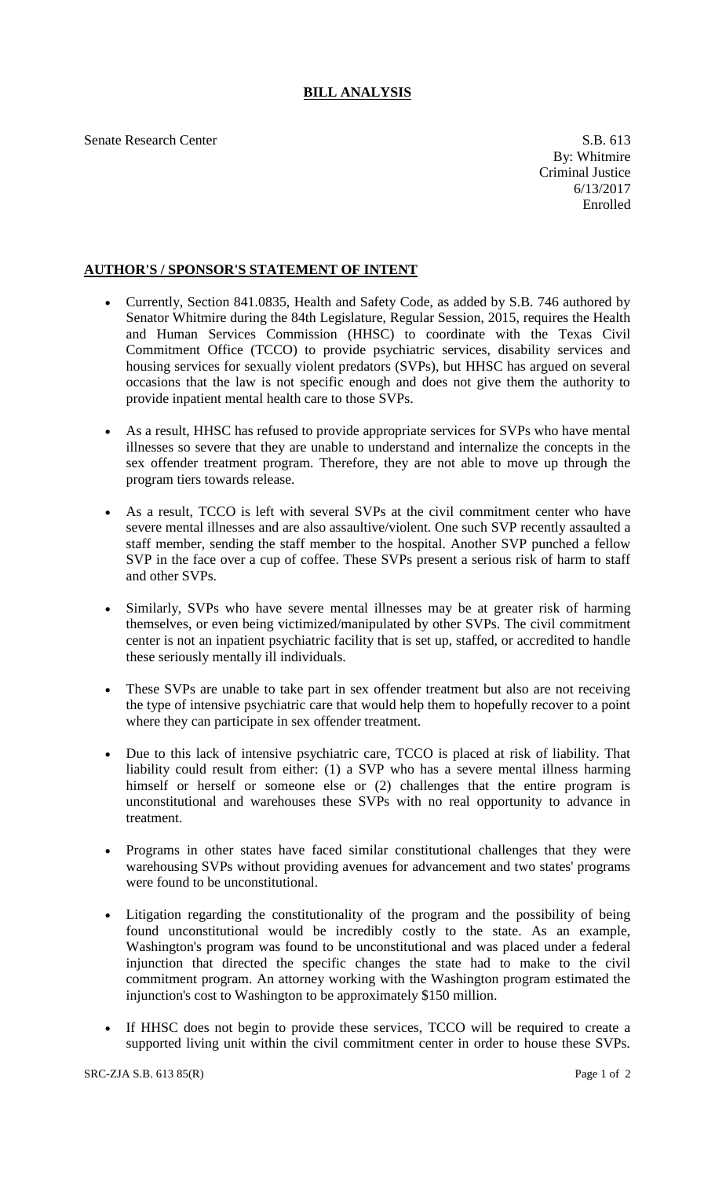## **BILL ANALYSIS**

Senate Research Center S.B. 613

## **AUTHOR'S / SPONSOR'S STATEMENT OF INTENT**

- Currently, Section 841.0835, Health and Safety Code, as added by S.B. 746 authored by Senator Whitmire during the 84th Legislature, Regular Session, 2015, requires the Health and Human Services Commission (HHSC) to coordinate with the Texas Civil Commitment Office (TCCO) to provide psychiatric services, disability services and housing services for sexually violent predators (SVPs), but HHSC has argued on several occasions that the law is not specific enough and does not give them the authority to provide inpatient mental health care to those SVPs.
- As a result, HHSC has refused to provide appropriate services for SVPs who have mental illnesses so severe that they are unable to understand and internalize the concepts in the sex offender treatment program. Therefore, they are not able to move up through the program tiers towards release.
- As a result, TCCO is left with several SVPs at the civil commitment center who have severe mental illnesses and are also assaultive/violent. One such SVP recently assaulted a staff member, sending the staff member to the hospital. Another SVP punched a fellow SVP in the face over a cup of coffee. These SVPs present a serious risk of harm to staff and other SVPs.
- Similarly, SVPs who have severe mental illnesses may be at greater risk of harming themselves, or even being victimized/manipulated by other SVPs. The civil commitment center is not an inpatient psychiatric facility that is set up, staffed, or accredited to handle these seriously mentally ill individuals.
- These SVPs are unable to take part in sex offender treatment but also are not receiving the type of intensive psychiatric care that would help them to hopefully recover to a point where they can participate in sex offender treatment.
- Due to this lack of intensive psychiatric care, TCCO is placed at risk of liability. That liability could result from either: (1) a SVP who has a severe mental illness harming himself or herself or someone else or  $(2)$  challenges that the entire program is unconstitutional and warehouses these SVPs with no real opportunity to advance in treatment.
- Programs in other states have faced similar constitutional challenges that they were warehousing SVPs without providing avenues for advancement and two states' programs were found to be unconstitutional.
- Litigation regarding the constitutionality of the program and the possibility of being found unconstitutional would be incredibly costly to the state. As an example, Washington's program was found to be unconstitutional and was placed under a federal injunction that directed the specific changes the state had to make to the civil commitment program. An attorney working with the Washington program estimated the injunction's cost to Washington to be approximately \$150 million.
- If HHSC does not begin to provide these services, TCCO will be required to create a supported living unit within the civil commitment center in order to house these SVPs.